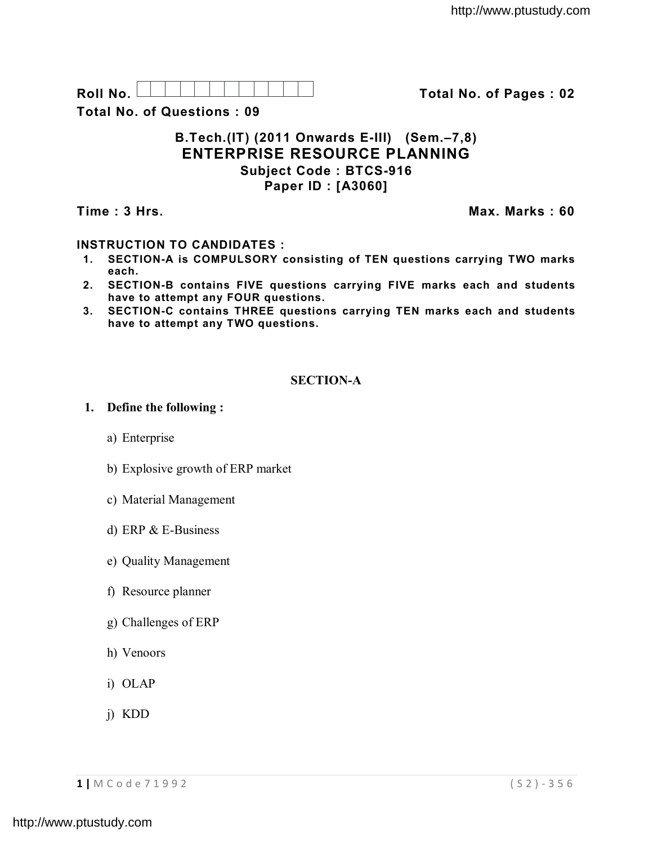**Roll No. Total No. of Pages : 02**

**Total No. of Questions : 09**

### **B.Tech.(IT) (2011 Onwards E-III) (Sem.–7,8) ENTERPRISE RESOURCE PLANNING Subject Code : BTCS-916 Paper ID : [A3060]**

**Time : 3 Hrs.** Max. Marks : 60

# **INSTRUCTION TO CANDIDATES :**

- **1. SECTION-A is COMPULSORY consisting of TEN questions carrying TWO marks each.**
- **2. SECTION-B contains FIVE questions carrying FIVE marks each and students have to attempt any FOUR questions.**
- **3. SECTION-C contains THREE questions carrying TEN marks each and students have to attempt any TWO questions.**

# **SECTION-A**

## **1. Define the following :**

- a) Enterprise
- b) Explosive growth of ERP market
- c) Material Management
- d) ERP & E-Business
- e) Quality Management
- f) Resource planner
- g) Challenges of ERP
- h) Venoors
- i) OLAP
- j) KDD